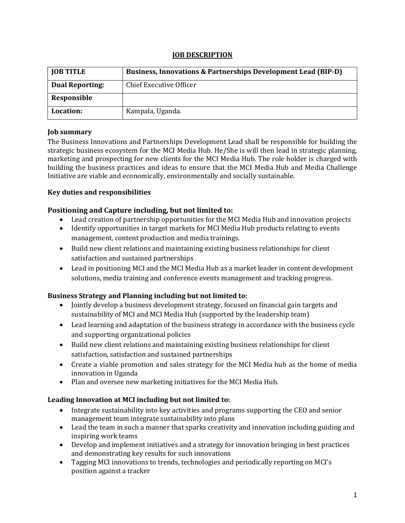## **JOB DESCRIPTION**

| <b>JOB TITLE</b>       | <b>Business, Innovations &amp; Partnerships Development Lead (BIP-D)</b> |
|------------------------|--------------------------------------------------------------------------|
| <b>Dual Reporting:</b> | Chief Executive Officer                                                  |
| Responsible            |                                                                          |
| Location:              | Kampala, Uganda.                                                         |

## **Job summary**

The Business Innovations and Partnerships Development Lead shall be responsible for building the strategic business ecosystem for the MCI Media Hub. He/She is will then lead in strategic planning, marketing and prospecting for new clients for the MCI Media Hub. The role holder is charged with building the business practices and ideas to ensure that the MCI Media Hub and Media Challenge Initiative are viable and economically, environmentally and socially sustainable.

## **Key duties and responsibilities**

## **Positioning and Capture including, but not limited to:**

- Lead creation of partnership opportunities for the MCI Media Hub and innovation projects
- Identify opportunities in target markets for MCI Media Hub products relating to events management, content production and media trainings.
- Build new client relations and maintaining existing business relationships for client satisfaction and sustained partnerships
- Lead in positioning MCI and the MCI Media Hub as a market leader in content development solutions, media training and conference events management and tracking progress.

#### **Business Strategy and Planning including but not limited to:**

- Jointly develop a business development strategy, focused on financial gain targets and sustainability of MCI and MCI Media Hub (supported by the leadership team)
- Lead learning and adaptation of the business strategy in accordance with the business cycle and supporting organizational policies
- Build new client relations and maintaining existing business relationships for client satisfaction, satisfaction and sustained partnerships
- Create a viable promotion and sales strategy for the MCI Media hub as the home of media innovation in Uganda
- Plan and oversee new marketing initiatives for the MCI Media Hub.

# **Leading Innovation at MCI including but not limited to:**

- Integrate sustainability into key activities and programs supporting the CEO and senior management team integrate sustainability into plans
- Lead the team in such a manner that sparks creativity and innovation including guiding and inspiring work teams
- Develop and implement initiatives and a strategy for innovation bringing in best practices and demonstrating key results for such innovations
- Tagging MCI innovations to trends, technologies and periodically reporting on MCI's position against a tracker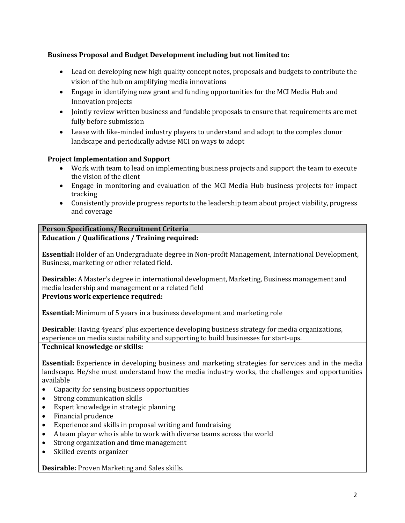# **Business Proposal and Budget Development including but not limited to:**

- Lead on developing new high quality concept notes, proposals and budgets to contribute the vision of the hub on amplifying media innovations
- Engage in identifying new grant and funding opportunities for the MCI Media Hub and Innovation projects
- Jointly review written business and fundable proposals to ensure that requirements are met fully before submission
- Lease with like-minded industry players to understand and adopt to the complex donor landscape and periodically advise MCI on ways to adopt

# **Project Implementation and Support**

- Work with team to lead on implementing business projects and support the team to execute the vision of the client
- Engage in monitoring and evaluation of the MCI Media Hub business projects for impact tracking
- Consistently provide progress reports to the leadership team about project viability, progress and coverage

#### **Person Specifications/ Recruitment Criteria Education / Qualifications / Training required:**

**Essential:** Holder of an Undergraduate degree in Non-profit Management, International Development, Business, marketing or other related field.

**Desirable:** A Master's degree in international development, Marketing, Business management and media leadership and management or a related field

**Previous work experience required:** 

**Essential:** Minimum of 5 years in a business development and marketing role

**Desirable**: Having 4years' plus experience developing business strategy for media organizations, experience on media sustainability and supporting to build businesses for start-ups.

#### **Technical knowledge or skills:**

**Essential:** Experience in developing business and marketing strategies for services and in the media landscape. He/she must understand how the media industry works, the challenges and opportunities available

- Capacity for sensing business opportunities
- Strong communication skills
- Expert knowledge in strategic planning
- Financial prudence
- Experience and skills in proposal writing and fundraising
- A team player who is able to work with diverse teams across the world
- Strong organization and time management
- Skilled events organizer

**Desirable:** Proven Marketing and Sales skills.